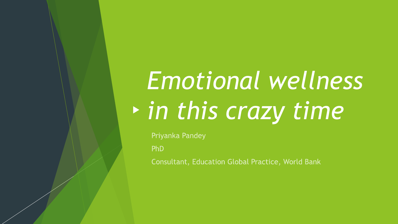# *Emotional wellness in this crazy time*

Priyanka Pandey

PhD

Consultant, Education Global Practice, World Bank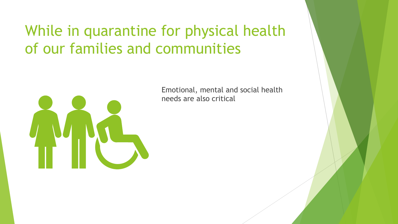### While in quarantine for physical health of our families and communities

Emotional, mental and social health needs are also critical

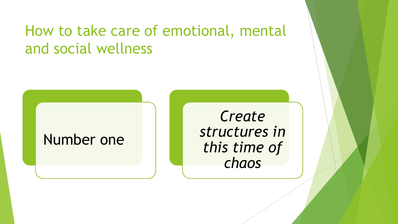### How to take care of emotional, mental and social wellness

### Number one

*Create structures in this time of chaos*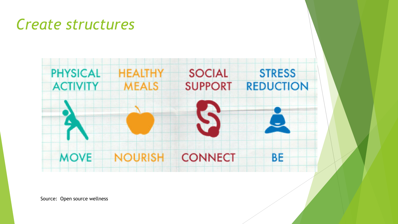### *Create structures*



Source: Open source wellness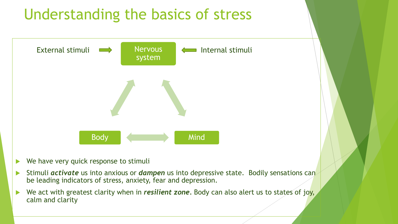

- Stimuli *activate* us into anxious or *dampen* us into depressive state. Bodily sensations can be leading indicators of stress, anxiety, fear and depression.
- ▶ We act with greatest clarity when in *resilient zone*. Body can also alert us to states of joy, calm and clarity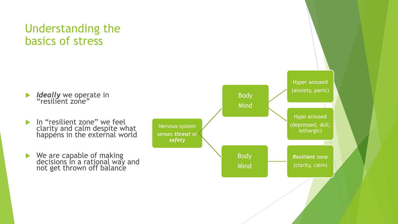#### Understanding the basics of stress

*Ideally* we operate in<br>"resilient zone"

- In "resilient zone" we feel clarity and calm despite what happéns in the external world
- ▶ We are capable of making decisions in a rational way and not get thrown off balance

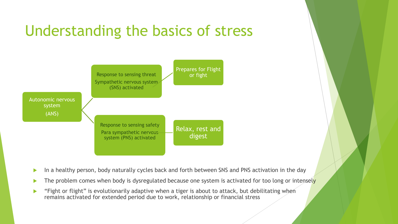### Understanding the basics of stress



- In a healthy person, body naturally cycles back and forth between SNS and PNS activation in the day
- $\triangleright$  The problem comes when body is dysregulated because one system is activated for too long or intensely
- **EXT** "Fight or flight" is evolutionarily adaptive when a tiger is about to attack, but debilitating when remains activated for extended period due to work, relationship or financial stress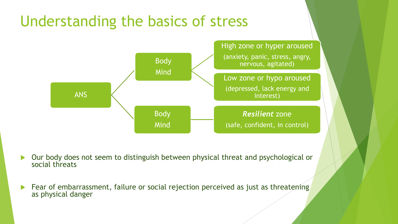### Understanding the basics of stress



 Our body does not seem to distinguish between physical threat and psychological or social threats

 Fear of embarrassment, failure or social rejection perceived as just as threatening as physical danger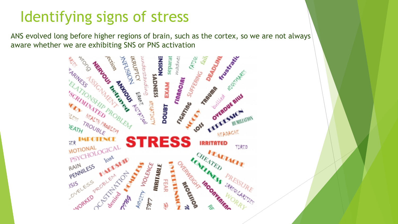### Identifying signs of stress

ANS evolved long before higher regions of brain, such as the cortex, so we are not always aware whether we are exhibiting SNS or PNS activation

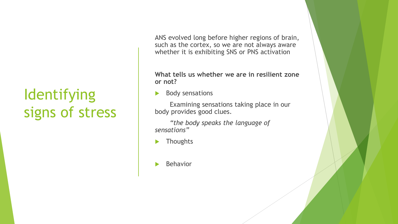### Identifying signs of stress

ANS evolved long before higher regions of brain, such as the cortex, so we are not always aware whether it is exhibiting SNS or PNS activation

**What tells us whether we are in resilient zone or not?**

Body sensations

Examining sensations taking place in our body provides good clues.

*"the body speaks the language of sensations"*

**Thoughts** 

Behavior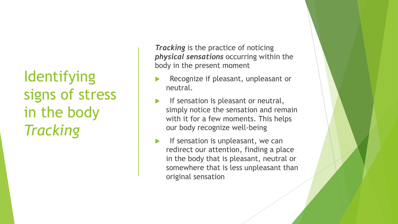**Identifying** signs of stress in the body *Tracking*

*Tracking* is the practice of noticing *physical sensations* occurring within the body in the present moment

- Recognize if pleasant, unpleasant or neutral.
- If sensation is pleasant or neutral, simply notice the sensation and remain with it for a few moments. This helps our body recognize well-being
- $\blacktriangleright$  If sensation is unpleasant, we can redirect our attention, finding a place in the body that is pleasant, neutral or somewhere that is less unpleasant than original sensation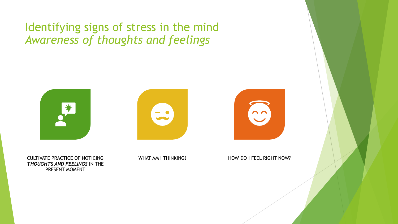#### Identifying signs of stress in the mind *Awareness of thoughts and feelings*



CULTIVATE PRACTICE OF NOTICING *THOUGHTS AND FEELINGS* IN THE PRESENT MOMENT





WHAT AM I THINKING? HOW DO I FEEL RIGHT NOW?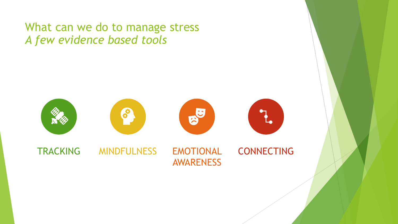What can we do to manage stress *A few evidence based tools*

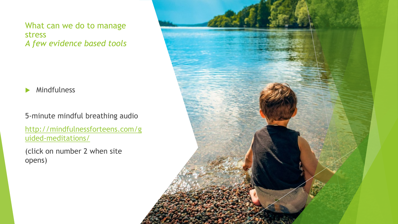What can we do to manage stress *A few evidence based tools*

**Mindfulness** 

5-minute mindful breathing audio

[http://mindfulnessforteens.com/g](http://mindfulnessforteens.com/guided-meditations/) uided-meditations/

(click on number 2 when site opens)

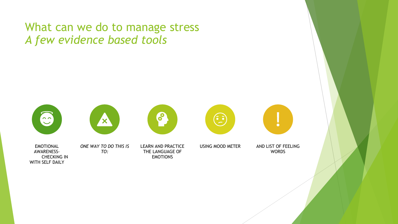#### What can we do to manage stress *A few evidence based tools*

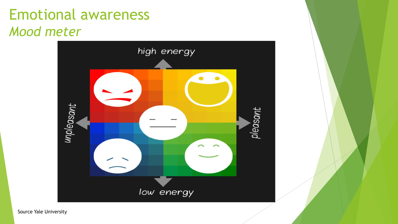### Emotional awareness *Mood meter*



Source Yale University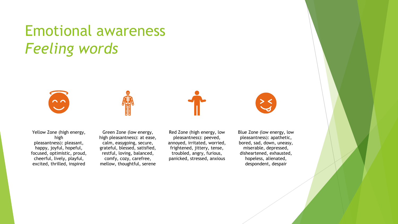### Emotional awareness *Feeling words*





Yellow Zone (high energy, high pleasantness): pleasant, happy, joyful, hopeful, focused, optimistic, proud, cheerful, lively, playful, excited, thrilled, inspired

Green Zone (low energy, high pleasantness): at ease, calm, easygoing, secure, grateful, blessed, satisfied, restful, loving, balanced, comfy, cozy, carefree, mellow, thoughtful, serene

Red Zone (high energy, low pleasantness): peeved, annoyed, irritated, worried, frightened, jittery, tense, troubled, angry, furious, panicked, stressed, anxious

Blue Zone (low energy, low pleasantness): apathetic, bored, sad, down, uneasy, miserable, depressed, disheartened, exhausted, hopeless, alienated, despondent, despair

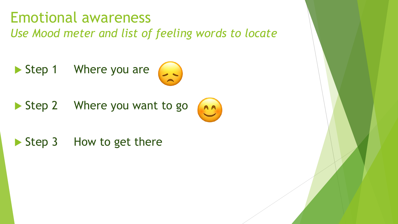### Emotional awareness *Use Mood meter and list of feeling words to locate*

Step 1 Where you are



AA

Step 2 Where you want to go

## Step 3 How to get there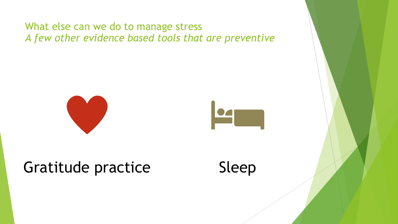#### What else can we do to manage stress *A few other evidence based tools that are preventive*





### Gratitude practice Sleep